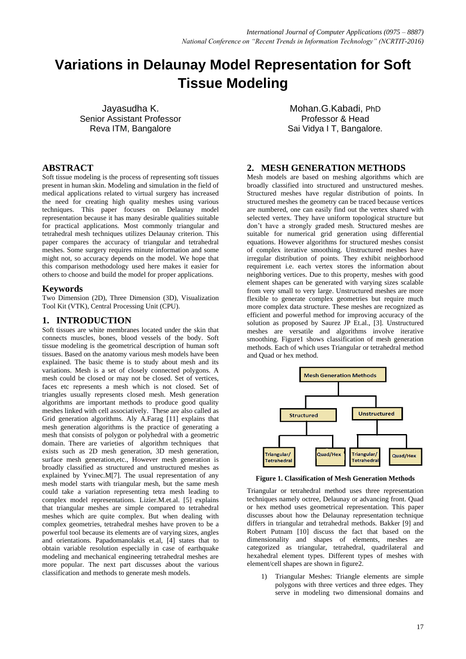# **Variations in Delaunay Model Representation for Soft Tissue Modeling**

Jayasudha K. Senior Assistant Professor Reva ITM, Bangalore

# **ABSTRACT**

Soft tissue modeling is the process of representing soft tissues present in human skin. Modeling and simulation in the field of medical applications related to virtual surgery has increased the need for creating high quality meshes using various techniques. This paper focuses on Delaunay model representation because it has many desirable qualities suitable for practical applications. Most commonly triangular and tetrahedral mesh techniques utilizes Delaunay criterion. This paper compares the accuracy of triangular and tetrahedral meshes. Some surgery requires minute information and some might not, so accuracy depends on the model. We hope that this comparison methodology used here makes it easier for others to choose and build the model for proper applications.

#### **Keywords**

Two Dimension (2D), Three Dimension (3D), Visualization Tool Kit (VTK), Central Processing Unit (CPU).

#### **1. INTRODUCTION**

Soft tissues are white membranes located under the skin that connects muscles, bones, blood vessels of the body. Soft tissue modeling is the geometrical description of human soft tissues. Based on the anatomy various mesh models have been explained. The basic theme is to study about mesh and its variations. Mesh is a set of closely connected polygons. A mesh could be closed or may not be closed. Set of vertices, faces etc represents a mesh which is not closed. Set of triangles usually represents closed mesh. Mesh generation algorithms are important methods to produce good quality meshes linked with cell associatively. These are also called as Grid generation algorithms. Aly A.Farag [11] explains that mesh generation algorithms is the practice of generating a mesh that consists of polygon or polyhedral with a geometric domain. There are varieties of algorithm techniques that exists such as 2D mesh generation, 3D mesh generation, surface mesh generation,etc., However mesh generation is broadly classified as structured and unstructured meshes as explained by Yvinec.M[7]. The usual representation of any mesh model starts with triangular mesh, but the same mesh could take a variation representing tetra mesh leading to complex model representations. Lizier.M.et.al. [5] explains that triangular meshes are simple compared to tetrahedral meshes which are quite complex. But when dealing with complex geometries, tetrahedral meshes have proven to be a powerful tool because its elements are of varying sizes, angles and orientations. Papadomanolakis et.al, [4] states that to obtain variable resolution especially in case of earthquake modeling and mechanical engineering tetrahedral meshes are more popular. The next part discusses about the various classification and methods to generate mesh models.

Mohan.G.Kabadi, PhD Professor & Head Sai Vidya I T, Bangalore*.*

#### **2. MESH GENERATION METHODS**

Mesh models are based on meshing algorithms which are broadly classified into structured and unstructured meshes. Structured meshes have regular distribution of points. In structured meshes the geometry can be traced because vertices are numbered, one can easily find out the vertex shared with selected vertex. They have uniform topological structure but don't have a strongly graded mesh. Structured meshes are suitable for numerical grid generation using differential equations. However algorithms for structured meshes consist of complex iterative smoothing. Unstructured meshes have irregular distribution of points. They exhibit neighborhood requirement i.e. each vertex stores the information about neighboring vertices. Due to this property, meshes with good element shapes can be generated with varying sizes scalable from very small to very large. Unstructured meshes are more flexible to generate complex geometries but require much more complex data structure. These meshes are recognized as efficient and powerful method for improving accuracy of the solution as proposed by Saurez JP Et.al., [3]. Unstructured meshes are versatile and algorithms involve iterative smoothing. Figure1 shows classification of mesh generation methods. Each of which uses Triangular or tetrahedral method and Quad or hex method.



**Figure 1. Classification of Mesh Generation Methods**

Triangular or tetrahedral method uses three representation techniques namely octree, Delaunay or advancing front. Quad or hex method uses geometrical representation. This paper discusses about how the Delaunay representation technique differs in triangular and tetrahedral methods. Bakker [9] and Robert Putnam [10] discuss the fact that based on the dimensionality and shapes of elements, meshes are categorized as triangular, tetrahedral, quadrilateral and hexahedral element types. Different types of meshes with element/cell shapes are shown in figure2.

1) Triangular Meshes: Triangle elements are simple polygons with three vertices and three edges. They serve in modeling two dimensional domains and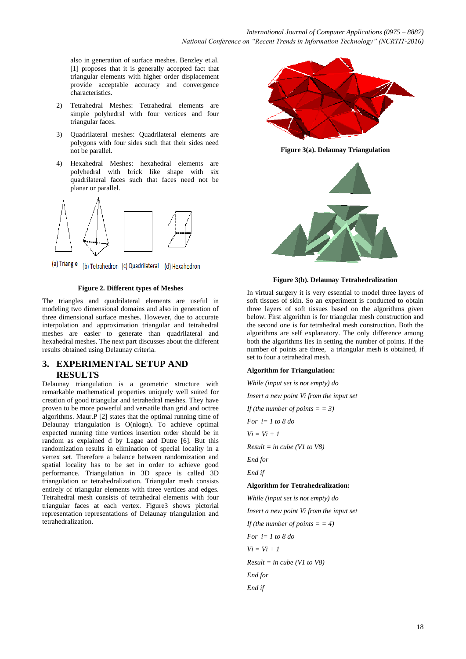also in generation of surface meshes. Benzley et.al. [1] proposes that it is generally accepted fact that triangular elements with higher order displacement provide acceptable accuracy and convergence characteristics.

- 2) Tetrahedral Meshes: Tetrahedral elements are simple polyhedral with four vertices and four triangular faces.
- 3) Quadrilateral meshes: Quadrilateral elements are polygons with four sides such that their sides need not be parallel.
- 4) Hexahedral Meshes: hexahedral elements are polyhedral with brick like shape with six quadrilateral faces such that faces need not be planar or parallel.



(a) Triangle (b) Tetrahedron (c) Quadrilateral (d) Hexahedron

#### **Figure 2. Different types of Meshes**

The triangles and quadrilateral elements are useful in modeling two dimensional domains and also in generation of three dimensional surface meshes. However, due to accurate interpolation and approximation triangular and tetrahedral meshes are easier to generate than quadrilateral and hexahedral meshes. The next part discusses about the different results obtained using Delaunay criteria.

# **3. EXPERIMENTAL SETUP AND RESULTS**

Delaunay triangulation is a geometric structure with remarkable mathematical properties uniquely well suited for creation of good triangular and tetrahedral meshes. They have proven to be more powerful and versatile than grid and octree algorithms. Maur.P [2] states that the optimal running time of Delaunay triangulation is O(nlogn). To achieve optimal expected running time vertices insertion order should be in random as explained d by Lagae and Dutre [6]. But this randomization results in elimination of special locality in a vertex set. Therefore a balance between randomization and spatial locality has to be set in order to achieve good performance. Triangulation in 3D space is called 3D triangulation or tetrahedralization. Triangular mesh consists entirely of triangular elements with three vertices and edges. Tetrahedral mesh consists of tetrahedral elements with four triangular faces at each vertex. Figure3 shows pictorial representation representations of Delaunay triangulation and tetrahedralization.



**Figure 3(a). Delaunay Triangulation**



**Figure 3(b). Delaunay Tetrahedralization**

In virtual surgery it is very essential to model three layers of soft tissues of skin. So an experiment is conducted to obtain three layers of soft tissues based on the algorithms given below. First algorithm is for triangular mesh construction and the second one is for tetrahedral mesh construction. Both the algorithms are self explanatory. The only difference among both the algorithms lies in setting the number of points. If the number of points are three, a triangular mesh is obtained, if set to four a tetrahedral mesh.

#### **Algorithm for Triangulation:**

*While (input set is not empty) do Insert a new point Vi from the input set If (the number of points =*  $= 3$ *) For i= 1 to 8 do Vi = Vi + 1 Result = in cube (V1 to V8) End for End if* **Algorithm for Tetrahedralization:**  *While (input set is not empty) do Insert a new point Vi from the input set If (the number of points = = 4) For i= 1 to 8 do Vi = Vi + 1 Result = in cube (V1 to V8) End for End if*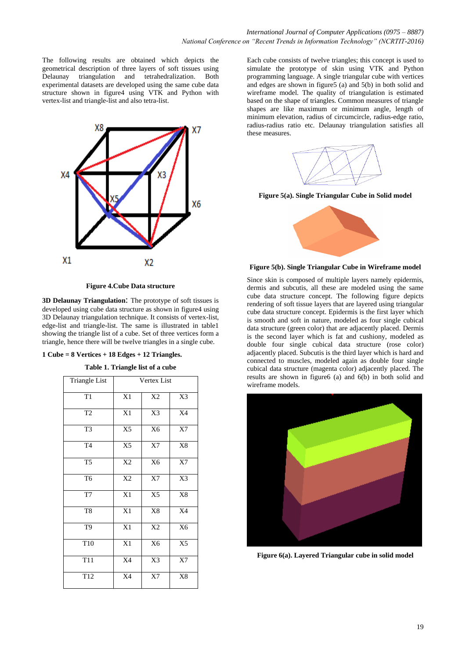The following results are obtained which depicts the geometrical description of three layers of soft tissues using Delaunay triangulation and tetrahedralization. Both experimental datasets are developed using the same cube data structure shown in figure4 using VTK and Python with vertex-list and triangle-list and also tetra-list.



**Figure 4.Cube Data structure**

**3D Delaunay Triangulation**: The prototype of soft tissues is developed using cube data structure as shown in figure4 using 3D Delaunay triangulation technique. It consists of vertex-list, edge-list and triangle-list. The same is illustrated in table1 showing the triangle list of a cube. Set of three vertices form a triangle, hence there will be twelve triangles in a single cube.

**1 Cube = 8 Vertices + 18 Edges + 12 Triangles.**

**Table 1. Triangle list of a cube**

| Triangle List   | Vertex List     |                |                |  |
|-----------------|-----------------|----------------|----------------|--|
| $\overline{T1}$ | X1              | X2             | X3             |  |
| T <sub>2</sub>  | X1              | X3             | X4             |  |
| T <sub>3</sub>  | X <sub>5</sub>  | X <sub>6</sub> | X7             |  |
| T <sub>4</sub>  | $\overline{X5}$ | X7             | $\rm X8$       |  |
| T <sub>5</sub>  | X2              | X <sub>6</sub> | X7             |  |
| T <sub>6</sub>  | X2              | $\mathbf{X}7$  | X3             |  |
| T7              | X1              | X <sub>5</sub> | X8             |  |
| T <sub>8</sub>  | X1              | X8             | X4             |  |
| T <sub>9</sub>  | X1              | X2             | X6             |  |
| T10             | X1              | X <sub>6</sub> | X <sub>5</sub> |  |
| T <sub>11</sub> | X4              | X3             | X7             |  |
| T12             | X4              | $\mathbf{X}7$  | $\rm X8$       |  |

Each cube consists of twelve triangles; this concept is used to simulate the prototype of skin using VTK and Python programming language. A single triangular cube with vertices and edges are shown in figure5 (a) and 5(b) in both solid and wireframe model. The quality of triangulation is estimated based on the shape of triangles. Common measures of triangle shapes are like maximum or minimum angle, length of minimum elevation, radius of circumcircle, radius-edge ratio, radius-radius ratio etc. Delaunay triangulation satisfies all these measures.



**Figure 5(a). Single Triangular Cube in Solid model**



**Figure 5(b). Single Triangular Cube in Wireframe model**

Since skin is composed of multiple layers namely epidermis, dermis and subcutis, all these are modeled using the same cube data structure concept. The following figure depicts rendering of soft tissue layers that are layered using triangular cube data structure concept. Epidermis is the first layer which is smooth and soft in nature, modeled as four single cubical data structure (green color) that are adjacently placed. Dermis is the second layer which is fat and cushiony, modeled as double four single cubical data structure (rose color) adjacently placed. Subcutis is the third layer which is hard and connected to muscles, modeled again as double four single cubical data structure (magenta color) adjacently placed. The results are shown in figure6 (a) and 6(b) in both solid and wireframe models.



**Figure 6(a). Layered Triangular cube in solid model**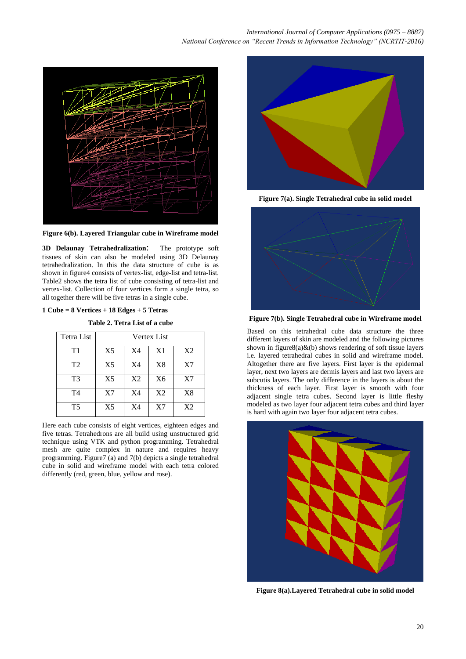

**Figure 6(b). Layered Triangular cube in Wireframe model**

**3D Delaunay Tetrahedralization**: The prototype soft tissues of skin can also be modeled using 3D Delaunay tetrahedralization. In this the data structure of cube is as shown in figure4 consists of vertex-list, edge-list and tetra-list. Table2 shows the tetra list of cube consisting of tetra-list and vertex-list. Collection of four vertices form a single tetra, so all together there will be five tetras in a single cube.

#### **1 Cube = 8 Vertices + 18 Edges + 5 Tetras**

**Table 2. Tetra List of a cube**

| Tetra List     | Vertex List    |                |                |                |
|----------------|----------------|----------------|----------------|----------------|
| T1             | X <sub>5</sub> | X <sub>4</sub> | X1             | X2             |
| T <sub>2</sub> | X <sub>5</sub> | X4             | X8             | X7             |
| T <sub>3</sub> | X <sub>5</sub> | X <sub>2</sub> | X6             | X7             |
| T <sub>4</sub> | X7             | X <sub>4</sub> | X <sub>2</sub> | X8             |
| T <sub>5</sub> | X <sub>5</sub> | X4             | X7             | X <sub>2</sub> |

Here each cube consists of eight vertices, eighteen edges and five tetras. Tetrahedrons are all build using unstructured grid technique using VTK and python programming. Tetrahedral mesh are quite complex in nature and requires heavy programming. Figure7 (a) and 7(b) depicts a single tetrahedral cube in solid and wireframe model with each tetra colored differently (red, green, blue, yellow and rose).



**Figure 7(a). Single Tetrahedral cube in solid model**



**Figure 7(b). Single Tetrahedral cube in Wireframe model**

Based on this tetrahedral cube data structure the three different layers of skin are modeled and the following pictures shown in figure8(a) $\&$ (b) shows rendering of soft tissue layers i.e. layered tetrahedral cubes in solid and wireframe model. Altogether there are five layers. First layer is the epidermal layer, next two layers are dermis layers and last two layers are subcutis layers. The only difference in the layers is about the thickness of each layer. First layer is smooth with four adjacent single tetra cubes. Second layer is little fleshy modeled as two layer four adjacent tetra cubes and third layer is hard with again two layer four adjacent tetra cubes.



**Figure 8(a).Layered Tetrahedral cube in solid model**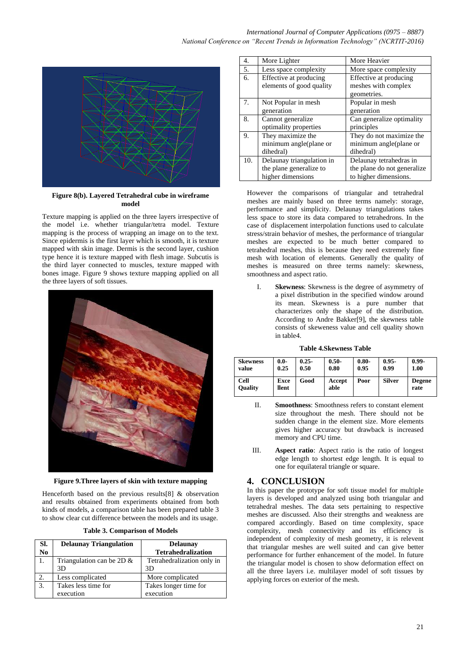

**Figure 8(b). Layered Tetrahedral cube in wireframe model**

Texture mapping is applied on the three layers irrespective of the model i.e. whether triangular/tetra model. Texture mapping is the process of wrapping an image on to the text. Since epidermis is the first layer which is smooth, it is texture mapped with skin image. Dermis is the second layer, cushion type hence it is texture mapped with flesh image. Subcutis is the third layer connected to muscles, texture mapped with bones image. Figure 9 shows texture mapping applied on all the three layers of soft tissues.



**Figure 9.Three layers of skin with texture mapping**

Henceforth based on the previous results[8] & observation and results obtained from experiments obtained from both kinds of models, a comparison table has been prepared table 3 to show clear cut difference between the models and its usage.

| <b>Table 3. Comparison of Models</b> |  |
|--------------------------------------|--|
|                                      |  |

| SI.<br>N <sub>0</sub> | <b>Delaunay Triangulation</b>      | <b>Delaunav</b><br><b>Tetrahedralization</b> |
|-----------------------|------------------------------------|----------------------------------------------|
| 1.                    | Triangulation can be 2D $\&$<br>3D | Tetrahedralization only in<br>3D             |
| 2.                    | Less complicated                   | More complicated                             |
| 3.                    | Takes less time for<br>execution   | Takes longer time for<br>execution           |

| 4.  | More Lighter              | More Heavier                |  |  |
|-----|---------------------------|-----------------------------|--|--|
| 5.  | Less space complexity     | More space complexity       |  |  |
| 6.  | Effective at producing    | Effective at producing      |  |  |
|     | elements of good quality  | meshes with complex         |  |  |
|     |                           | geometries.                 |  |  |
| 7.  | Not Popular in mesh       | Popular in mesh             |  |  |
|     | generation                | generation                  |  |  |
| 8.  | Cannot generalize         | Can generalize optimality   |  |  |
|     | optimality properties     | principles                  |  |  |
| 9.  | They maximize the         | They do not maximize the    |  |  |
|     | minimum angle(plane or    | minimum angle(plane or      |  |  |
|     | dihedral)                 | dihedral)                   |  |  |
| 10. | Delaunay triangulation in | Delaunay tetrahedras in     |  |  |
|     | the plane generalize to   | the plane do not generalize |  |  |
|     | higher dimensions         | to higher dimensions.       |  |  |

However the comparisons of triangular and tetrahedral meshes are mainly based on three terms namely: storage, performance and simplicity. Delaunay triangulations takes less space to store its data compared to tetrahedrons. In the case of displacement interpolation functions used to calculate stress/strain behavior of meshes, the performance of triangular meshes are expected to be much better compared to tetrahedral meshes, this is because they need extremely fine mesh with location of elements. Generally the quality of meshes is measured on three terms namely: skewness, smoothness and aspect ratio.

I. **Skewness**: Skewness is the degree of asymmetry of a pixel distribution in the specified window around its mean. Skewness is a pure number that characterizes only the shape of the distribution. According to Andre Bakker[9], the skewness table consists of skeweness value and cell quality shown in table4.

| Table 4.Skewness Table |
|------------------------|
|------------------------|

| <b>Skewness</b>        | $0.0 -$              | $0.25 -$ | $0.50 -$       | $0.80 -$ | $0.95 -$      | $0.99 -$              |
|------------------------|----------------------|----------|----------------|----------|---------------|-----------------------|
| value                  | 0.25                 | 0.50     | 0.80           | 0.95     | 0.99          | 1.00                  |
| Cell<br><b>Ouality</b> | <b>Exce</b><br>llent | Good     | Accept<br>able | Poor     | <b>Silver</b> | <b>Degene</b><br>rate |

- II. **Smoothness**: Smoothness refers to constant element size throughout the mesh. There should not be sudden change in the element size. More elements gives higher accuracy but drawback is increased memory and CPU time.
- III. **Aspect ratio**: Aspect ratio is the ratio of longest edge length to shortest edge length. It is equal to one for equilateral triangle or square.

# **4. CONCLUSION**

In this paper the prototype for soft tissue model for multiple layers is developed and analyzed using both triangular and tetrahedral meshes. The data sets pertaining to respective meshes are discussed. Also their strengths and weakness are compared accordingly. Based on time complexity, space complexity, mesh connectivity and its efficiency is independent of complexity of mesh geometry, it is relevent that triangular meshes are well suited and can give better performance for further enhancement of the model. In future the triangular model is chosen to show deformation effect on all the three layers i.e. multilayer model of soft tissues by applying forces on exterior of the mesh.